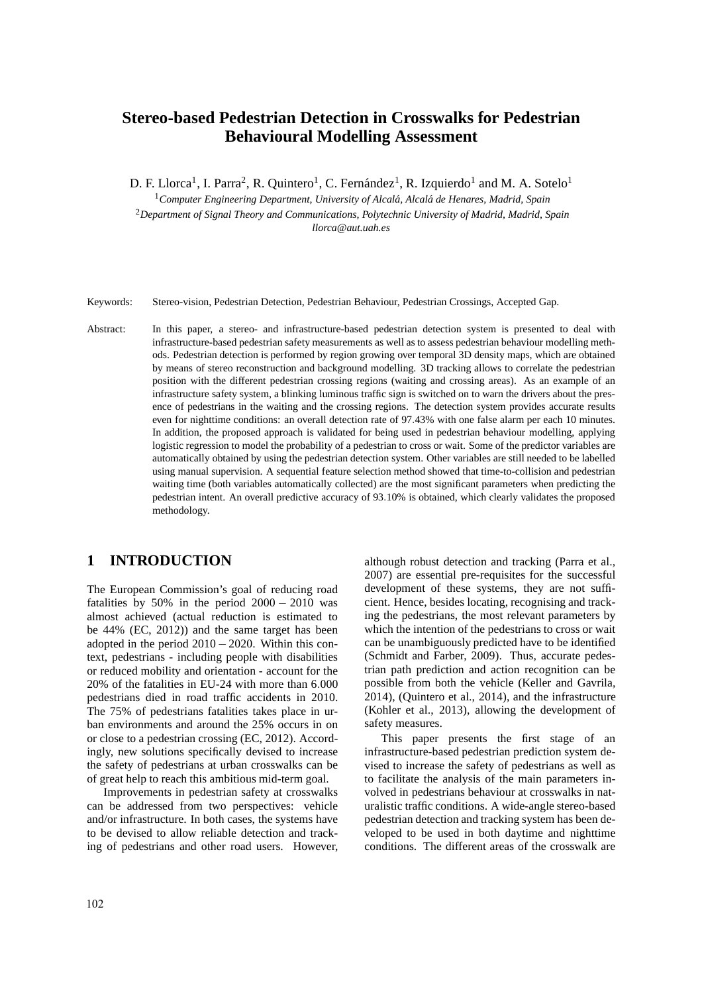# **Stereo-based Pedestrian Detection in Crosswalks for Pedestrian Behavioural Modelling Assessment**

D. F. Llorca<sup>1</sup>, I. Parra<sup>2</sup>, R. Quintero<sup>1</sup>, C. Fernández<sup>1</sup>, R. Izquierdo<sup>1</sup> and M. A. Sotelo<sup>1</sup>

<sup>1</sup> Computer Engineering Department, University of Alcalá, Alcalá de Henares, Madrid, Spain <sup>2</sup>*Department of Signal Theory and Communications, Polytechnic University of Madrid, Madrid, Spain llorca@aut.uah.es*

Keywords: Stereo-vision, Pedestrian Detection, Pedestrian Behaviour, Pedestrian Crossings, Accepted Gap.

Abstract: In this paper, a stereo- and infrastructure-based pedestrian detection system is presented to deal with infrastructure-based pedestrian safety measurements as well as to assess pedestrian behaviour modelling methods. Pedestrian detection is performed by region growing over temporal 3D density maps, which are obtained by means of stereo reconstruction and background modelling. 3D tracking allows to correlate the pedestrian position with the different pedestrian crossing regions (waiting and crossing areas). As an example of an infrastructure safety system, a blinking luminous traffic sign is switched on to warn the drivers about the presence of pedestrians in the waiting and the crossing regions. The detection system provides accurate results even for nighttime conditions: an overall detection rate of 97.43% with one false alarm per each 10 minutes. In addition, the proposed approach is validated for being used in pedestrian behaviour modelling, applying logistic regression to model the probability of a pedestrian to cross or wait. Some of the predictor variables are automatically obtained by using the pedestrian detection system. Other variables are still needed to be labelled using manual supervision. A sequential feature selection method showed that time-to-collision and pedestrian waiting time (both variables automatically collected) are the most significant parameters when predicting the pedestrian intent. An overall predictive accuracy of 93.10% is obtained, which clearly validates the proposed methodology.

#### **1 INTRODUCTION**

The European Commission's goal of reducing road fatalities by 50% in the period  $2000 - 2010$  was almost achieved (actual reduction is estimated to be 44% (EC, 2012)) and the same target has been adopted in the period  $2010 - 2020$ . Within this context, pedestrians - including people with disabilities or reduced mobility and orientation - account for the 20% of the fatalities in EU-24 with more than 6.000 pedestrians died in road traffic accidents in 2010. The 75% of pedestrians fatalities takes place in urban environments and around the 25% occurs in on or close to a pedestrian crossing (EC, 2012). Accordingly, new solutions specifically devised to increase the safety of pedestrians at urban crosswalks can be of great help to reach this ambitious mid-term goal.

Improvements in pedestrian safety at crosswalks can be addressed from two perspectives: vehicle and/or infrastructure. In both cases, the systems have to be devised to allow reliable detection and tracking of pedestrians and other road users. However,

although robust detection and tracking (Parra et al., 2007) are essential pre-requisites for the successful development of these systems, they are not sufficient. Hence, besides locating, recognising and tracking the pedestrians, the most relevant parameters by which the intention of the pedestrians to cross or wait can be unambiguously predicted have to be identified (Schmidt and Farber, 2009). Thus, accurate pedestrian path prediction and action recognition can be possible from both the vehicle (Keller and Gavrila, 2014), (Quintero et al., 2014), and the infrastructure (Kohler et al., 2013), allowing the development of safety measures.

This paper presents the first stage of an infrastructure-based pedestrian prediction system devised to increase the safety of pedestrians as well as to facilitate the analysis of the main parameters involved in pedestrians behaviour at crosswalks in naturalistic traffic conditions. A wide-angle stereo-based pedestrian detection and tracking system has been developed to be used in both daytime and nighttime conditions. The different areas of the crosswalk are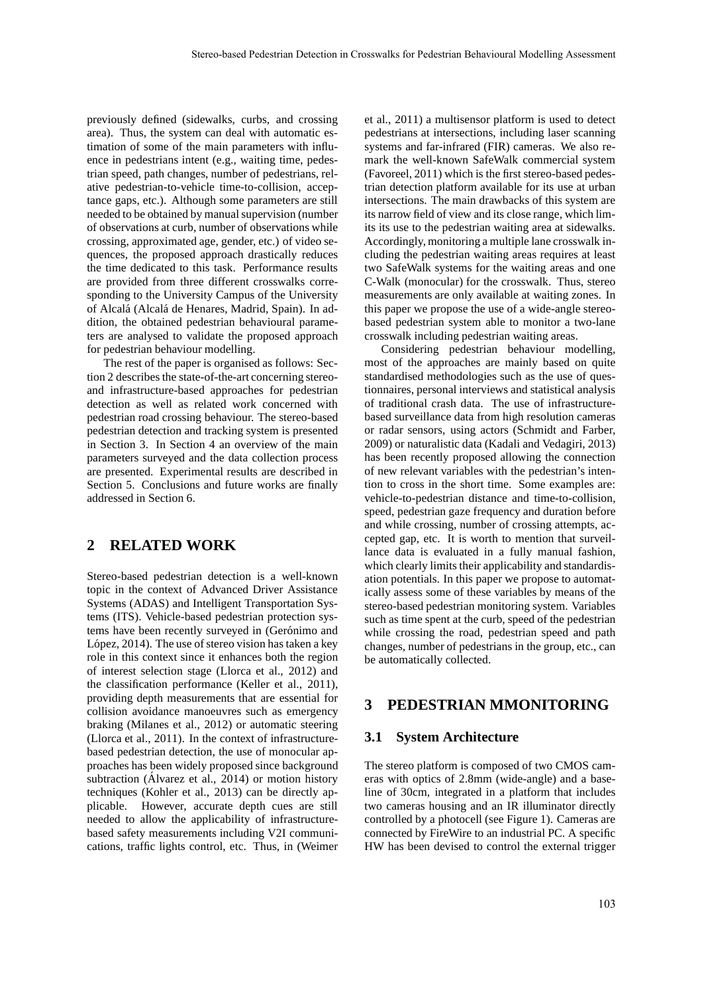previously defined (sidewalks, curbs, and crossing area). Thus, the system can deal with automatic estimation of some of the main parameters with influence in pedestrians intent (e.g., waiting time, pedestrian speed, path changes, number of pedestrians, relative pedestrian-to-vehicle time-to-collision, acceptance gaps, etc.). Although some parameters are still needed to be obtained by manual supervision (number of observations at curb, number of observations while crossing, approximated age, gender, etc.) of video sequences, the proposed approach drastically reduces the time dedicated to this task. Performance results are provided from three different crosswalks corresponding to the University Campus of the University of Alcalá (Alcalá de Henares, Madrid, Spain). In addition, the obtained pedestrian behavioural parameters are analysed to validate the proposed approach for pedestrian behaviour modelling.

The rest of the paper is organised as follows: Section 2 describes the state-of-the-art concerning stereoand infrastructure-based approaches for pedestrian detection as well as related work concerned with pedestrian road crossing behaviour. The stereo-based pedestrian detection and tracking system is presented in Section 3. In Section 4 an overview of the main parameters surveyed and the data collection process are presented. Experimental results are described in Section 5. Conclusions and future works are finally addressed in Section 6.

#### **2 RELATED WORK**

Stereo-based pedestrian detection is a well-known topic in the context of Advanced Driver Assistance Systems (ADAS) and Intelligent Transportation Systems (ITS). Vehicle-based pedestrian protection systems have been recently surveyed in (Gerónimo and López, 2014). The use of stereo vision has taken a key role in this context since it enhances both the region of interest selection stage (Llorca et al., 2012) and the classification performance (Keller et al., 2011), providing depth measurements that are essential for collision avoidance manoeuvres such as emergency braking (Milanes et al., 2012) or automatic steering (Llorca et al., 2011). In the context of infrastructurebased pedestrian detection, the use of monocular approaches has been widely proposed since background subtraction (Álvarez et al., 2014) or motion history techniques (Kohler et al., 2013) can be directly applicable. However, accurate depth cues are still needed to allow the applicability of infrastructurebased safety measurements including V2I communications, traffic lights control, etc. Thus, in (Weimer et al., 2011) a multisensor platform is used to detect pedestrians at intersections, including laser scanning systems and far-infrared (FIR) cameras. We also remark the well-known SafeWalk commercial system (Favoreel, 2011) which is the first stereo-based pedestrian detection platform available for its use at urban intersections. The main drawbacks of this system are its narrow field of view and its close range, which limits its use to the pedestrian waiting area at sidewalks. Accordingly, monitoring a multiple lane crosswalk including the pedestrian waiting areas requires at least two SafeWalk systems for the waiting areas and one C-Walk (monocular) for the crosswalk. Thus, stereo measurements are only available at waiting zones. In this paper we propose the use of a wide-angle stereobased pedestrian system able to monitor a two-lane crosswalk including pedestrian waiting areas.

Considering pedestrian behaviour modelling, most of the approaches are mainly based on quite standardised methodologies such as the use of questionnaires, personal interviews and statistical analysis of traditional crash data. The use of infrastructurebased surveillance data from high resolution cameras or radar sensors, using actors (Schmidt and Farber, 2009) or naturalistic data (Kadali and Vedagiri, 2013) has been recently proposed allowing the connection of new relevant variables with the pedestrian's intention to cross in the short time. Some examples are: vehicle-to-pedestrian distance and time-to-collision, speed, pedestrian gaze frequency and duration before and while crossing, number of crossing attempts, accepted gap, etc. It is worth to mention that surveillance data is evaluated in a fully manual fashion, which clearly limits their applicability and standardisation potentials. In this paper we propose to automatically assess some of these variables by means of the stereo-based pedestrian monitoring system. Variables such as time spent at the curb, speed of the pedestrian while crossing the road, pedestrian speed and path changes, number of pedestrians in the group, etc., can be automatically collected.

#### **3 PEDESTRIAN MMONITORING**

#### **3.1 System Architecture**

The stereo platform is composed of two CMOS cameras with optics of 2.8mm (wide-angle) and a baseline of 30cm, integrated in a platform that includes two cameras housing and an IR illuminator directly controlled by a photocell (see Figure 1). Cameras are connected by FireWire to an industrial PC. A specific HW has been devised to control the external trigger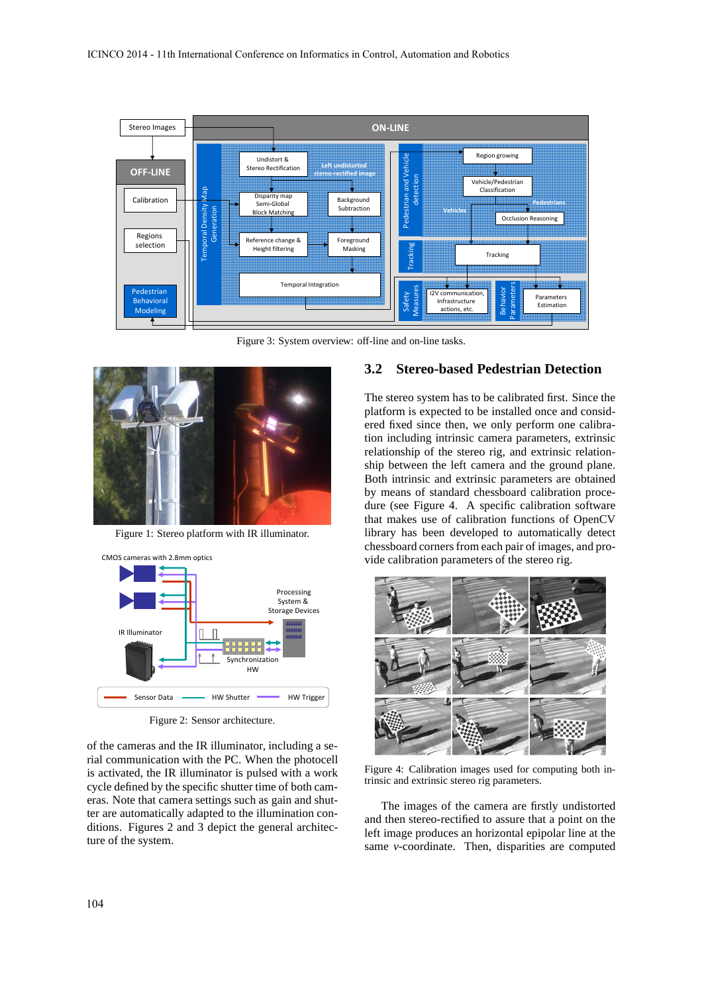

Figure 3: System overview: off-line and on-line tasks.



Figure 1: Stereo platform with IR illuminator.



Figure 2: Sensor architecture.

of the cameras and the IR illuminator, including a serial communication with the PC. When the photocell is activated, the IR illuminator is pulsed with a work cycle defined by the specific shutter time of both cameras. Note that camera settings such as gain and shutter are automatically adapted to the illumination conditions. Figures 2 and 3 depict the general architecture of the system.

#### **3.2 Stereo-based Pedestrian Detection**

The stereo system has to be calibrated first. Since the platform is expected to be installed once and considered fixed since then, we only perform one calibration including intrinsic camera parameters, extrinsic relationship of the stereo rig, and extrinsic relationship between the left camera and the ground plane. Both intrinsic and extrinsic parameters are obtained by means of standard chessboard calibration procedure (see Figure 4. A specific calibration software that makes use of calibration functions of OpenCV library has been developed to automatically detect chessboard corners from each pair of images, and provide calibration parameters of the stereo rig.



Figure 4: Calibration images used for computing both intrinsic and extrinsic stereo rig parameters.

The images of the camera are firstly undistorted and then stereo-rectified to assure that a point on the left image produces an horizontal epipolar line at the same *v*-coordinate. Then, disparities are computed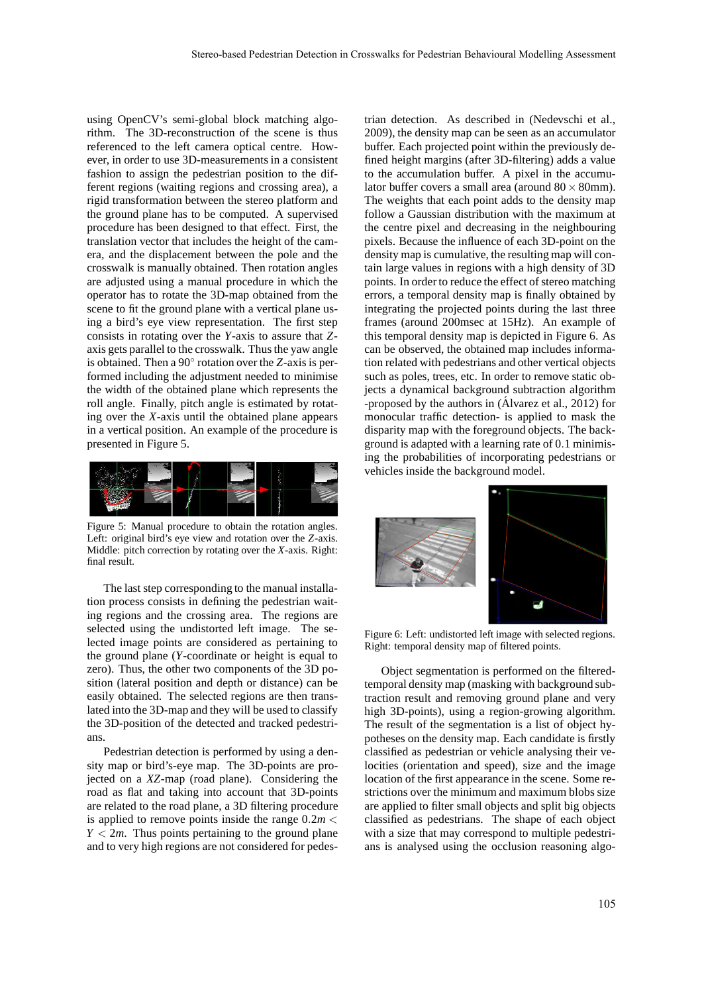using OpenCV's semi-global block matching algorithm. The 3D-reconstruction of the scene is thus referenced to the left camera optical centre. However, in order to use 3D-measurements in a consistent fashion to assign the pedestrian position to the different regions (waiting regions and crossing area), a rigid transformation between the stereo platform and the ground plane has to be computed. A supervised procedure has been designed to that effect. First, the translation vector that includes the height of the camera, and the displacement between the pole and the crosswalk is manually obtained. Then rotation angles are adjusted using a manual procedure in which the operator has to rotate the 3D-map obtained from the scene to fit the ground plane with a vertical plane using a bird's eye view representation. The first step consists in rotating over the *Y*-axis to assure that *Z*axis gets parallel to the crosswalk. Thus the yaw angle is obtained. Then a 90◦ rotation over the *Z*-axis is performed including the adjustment needed to minimise the width of the obtained plane which represents the roll angle. Finally, pitch angle is estimated by rotating over the *X*-axis until the obtained plane appears in a vertical position. An example of the procedure is presented in Figure 5.



Figure 5: Manual procedure to obtain the rotation angles. Left: original bird's eye view and rotation over the *Z*-axis. Middle: pitch correction by rotating over the *X*-axis. Right: final result.

The last step corresponding to the manual installation process consists in defining the pedestrian waiting regions and the crossing area. The regions are selected using the undistorted left image. The selected image points are considered as pertaining to the ground plane (*Y*-coordinate or height is equal to zero). Thus, the other two components of the 3D position (lateral position and depth or distance) can be easily obtained. The selected regions are then translated into the 3D-map and they will be used to classify the 3D-position of the detected and tracked pedestrians.

Pedestrian detection is performed by using a density map or bird's-eye map. The 3D-points are projected on a *XZ*-map (road plane). Considering the road as flat and taking into account that 3D-points are related to the road plane, a 3D filtering procedure is applied to remove points inside the range  $0.2m <$  $Y < 2m$ . Thus points pertaining to the ground plane and to very high regions are not considered for pedes-

trian detection. As described in (Nedevschi et al., 2009), the density map can be seen as an accumulator buffer. Each projected point within the previously defined height margins (after 3D-filtering) adds a value to the accumulation buffer. A pixel in the accumulator buffer covers a small area (around  $80 \times 80$ mm). The weights that each point adds to the density map follow a Gaussian distribution with the maximum at the centre pixel and decreasing in the neighbouring pixels. Because the influence of each 3D-point on the density map is cumulative, the resulting map will contain large values in regions with a high density of 3D points. In order to reduce the effect of stereo matching errors, a temporal density map is finally obtained by integrating the projected points during the last three frames (around 200msec at 15Hz). An example of this temporal density map is depicted in Figure 6. As can be observed, the obtained map includes information related with pedestrians and other vertical objects such as poles, trees, etc. In order to remove static objects a dynamical background subtraction algorithm -proposed by the authors in (Alvarez et al., 2012) for monocular traffic detection- is applied to mask the disparity map with the foreground objects. The background is adapted with a learning rate of 0.1 minimising the probabilities of incorporating pedestrians or vehicles inside the background model.



Figure 6: Left: undistorted left image with selected regions. Right: temporal density map of filtered points.

Object segmentation is performed on the filteredtemporal density map (masking with background subtraction result and removing ground plane and very high 3D-points), using a region-growing algorithm. The result of the segmentation is a list of object hypotheses on the density map. Each candidate is firstly classified as pedestrian or vehicle analysing their velocities (orientation and speed), size and the image location of the first appearance in the scene. Some restrictions over the minimum and maximum blobs size are applied to filter small objects and split big objects classified as pedestrians. The shape of each object with a size that may correspond to multiple pedestrians is analysed using the occlusion reasoning algo-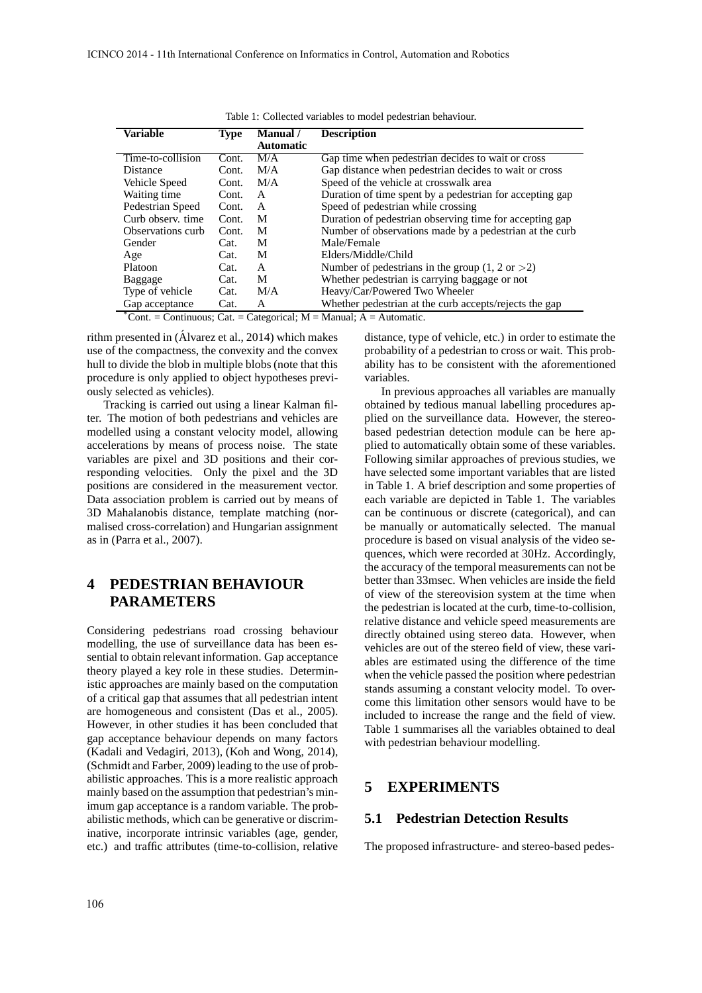| <b>Variable</b>                                       | <b>Type</b> | <b>Manual</b> /  | <b>Description</b>                                         |
|-------------------------------------------------------|-------------|------------------|------------------------------------------------------------|
|                                                       |             | <b>Automatic</b> |                                                            |
| Time-to-collision                                     | Cont.       | M/A              | Gap time when pedestrian decides to wait or cross          |
| <b>Distance</b>                                       | Cont.       | M/A              | Gap distance when pedestrian decides to wait or cross      |
| Vehicle Speed                                         | Cont.       | M/A              | Speed of the vehicle at crosswalk area                     |
| Waiting time                                          | Cont.       | A                | Duration of time spent by a pedestrian for accepting gap   |
| Pedestrian Speed                                      | Cont.       | A                | Speed of pedestrian while crossing                         |
| Curb observ, time                                     | Cont.       | M                | Duration of pedestrian observing time for accepting gap    |
| Observations curb                                     | Cont.       | M                | Number of observations made by a pedestrian at the curb    |
| Gender                                                | Cat.        | M                | Male/Female                                                |
| Age                                                   | Cat.        | М                | Elders/Middle/Child                                        |
| Platoon                                               | Cat.        | A                | Number of pedestrians in the group $(1, 2 \text{ or } >2)$ |
| Baggage                                               | Cat.        | М                | Whether pedestrian is carrying baggage or not              |
| Type of vehicle                                       | Cat.        | M/A              | Heavy/Car/Powered Two Wheeler                              |
| Gap acceptance<br>$^*a$ $\overline{a}$ $\overline{a}$ | Cat.        | A                | Whether pedestrian at the curb accepts/rejects the gap     |

Table 1: Collected variables to model pedestrian behaviour.

 $^{\circ}$ Cont. = Continuous; Cat. = Categorical; M = Manual; A = Automatic.

rithm presented in  $(Alvarez et al., 2014)$  which makes use of the compactness, the convexity and the convex hull to divide the blob in multiple blobs (note that this procedure is only applied to object hypotheses previously selected as vehicles).

Tracking is carried out using a linear Kalman filter. The motion of both pedestrians and vehicles are modelled using a constant velocity model, allowing accelerations by means of process noise. The state variables are pixel and 3D positions and their corresponding velocities. Only the pixel and the 3D positions are considered in the measurement vector. Data association problem is carried out by means of 3D Mahalanobis distance, template matching (normalised cross-correlation) and Hungarian assignment as in (Parra et al., 2007).

# **4 PEDESTRIAN BEHAVIOUR PARAMETERS**

Considering pedestrians road crossing behaviour modelling, the use of surveillance data has been essential to obtain relevant information. Gap acceptance theory played a key role in these studies. Deterministic approaches are mainly based on the computation of a critical gap that assumes that all pedestrian intent are homogeneous and consistent (Das et al., 2005). However, in other studies it has been concluded that gap acceptance behaviour depends on many factors (Kadali and Vedagiri, 2013), (Koh and Wong, 2014), (Schmidt and Farber, 2009) leading to the use of probabilistic approaches. This is a more realistic approach mainly based on the assumption that pedestrian's minimum gap acceptance is a random variable. The probabilistic methods, which can be generative or discriminative, incorporate intrinsic variables (age, gender, etc.) and traffic attributes (time-to-collision, relative distance, type of vehicle, etc.) in order to estimate the probability of a pedestrian to cross or wait. This probability has to be consistent with the aforementioned variables.

In previous approaches all variables are manually obtained by tedious manual labelling procedures applied on the surveillance data. However, the stereobased pedestrian detection module can be here applied to automatically obtain some of these variables. Following similar approaches of previous studies, we have selected some important variables that are listed in Table 1. A brief description and some properties of each variable are depicted in Table 1. The variables can be continuous or discrete (categorical), and can be manually or automatically selected. The manual procedure is based on visual analysis of the video sequences, which were recorded at 30Hz. Accordingly, the accuracy of the temporal measurements can not be better than 33msec. When vehicles are inside the field of view of the stereovision system at the time when the pedestrian is located at the curb, time-to-collision, relative distance and vehicle speed measurements are directly obtained using stereo data. However, when vehicles are out of the stereo field of view, these variables are estimated using the difference of the time when the vehicle passed the position where pedestrian stands assuming a constant velocity model. To overcome this limitation other sensors would have to be included to increase the range and the field of view. Table 1 summarises all the variables obtained to deal with pedestrian behaviour modelling.

### **5 EXPERIMENTS**

## **5.1 Pedestrian Detection Results**

The proposed infrastructure- and stereo-based pedes-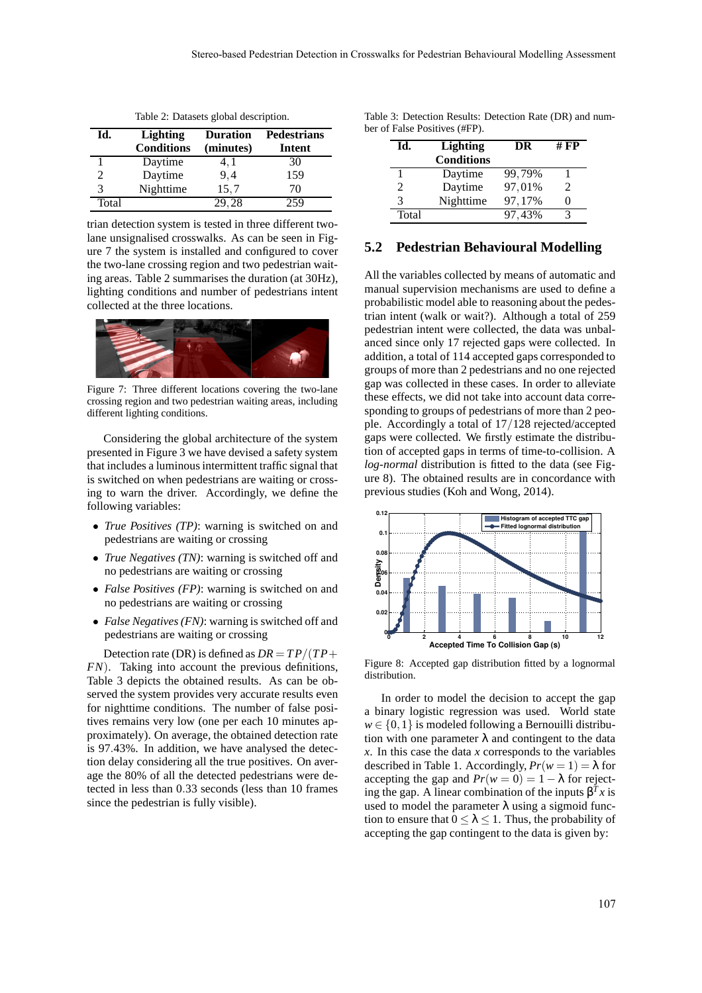| Id.   | <b>Lighting</b><br><b>Conditions</b> | <b>Duration</b><br>(minutes) | <b>Pedestrians</b><br>Intent |
|-------|--------------------------------------|------------------------------|------------------------------|
|       | Daytime                              | 4, 1                         | 30                           |
|       | Daytime                              | 9.4                          | 159                          |
|       | Nighttime                            | 15,7                         | 70                           |
| Total |                                      | 29.28                        | 259                          |

Table 2: Datasets global description.

trian detection system is tested in three different twolane unsignalised crosswalks. As can be seen in Figure 7 the system is installed and configured to cover the two-lane crossing region and two pedestrian waiting areas. Table 2 summarises the duration (at 30Hz), lighting conditions and number of pedestrians intent collected at the three locations.



Figure 7: Three different locations covering the two-lane crossing region and two pedestrian waiting areas, including different lighting conditions.

Considering the global architecture of the system presented in Figure 3 we have devised a safety system that includes a luminous intermittent traffic signal that is switched on when pedestrians are waiting or crossing to warn the driver. Accordingly, we define the following variables:

- *True Positives (TP)*: warning is switched on and pedestrians are waiting or crossing
- *True Negatives (TN)*: warning is switched off and no pedestrians are waiting or crossing
- *False Positives (FP)*: warning is switched on and no pedestrians are waiting or crossing
- *False Negatives (FN)*: warning is switched off and pedestrians are waiting or crossing

Detection rate (DR) is defined as  $DR = TP/(TP +$ *FN*). Taking into account the previous definitions, Table 3 depicts the obtained results. As can be observed the system provides very accurate results even for nighttime conditions. The number of false positives remains very low (one per each 10 minutes approximately). On average, the obtained detection rate is 97.43%. In addition, we have analysed the detection delay considering all the true positives. On average the 80% of all the detected pedestrians were detected in less than 0.33 seconds (less than 10 frames since the pedestrian is fully visible).

| Table 3: Detection Results: Detection Rate (DR) and num- |  |  |  |
|----------------------------------------------------------|--|--|--|
| ber of False Positives (#FP).                            |  |  |  |

| Id.                         | <b>Lighting</b>   | DR     | # FP |
|-----------------------------|-------------------|--------|------|
|                             | <b>Conditions</b> |        |      |
|                             | Daytime           | 99,79% |      |
| $\mathcal{D}_{\mathcal{L}}$ | Daytime           | 97,01% | 2.   |
| 3                           | Nighttime         | 97,17% |      |
| Total                       |                   | 97.43% |      |

#### **5.2 Pedestrian Behavioural Modelling**

All the variables collected by means of automatic and manual supervision mechanisms are used to define a probabilistic model able to reasoning about the pedestrian intent (walk or wait?). Although a total of 259 pedestrian intent were collected, the data was unbalanced since only 17 rejected gaps were collected. In addition, a total of 114 accepted gaps corresponded to groups of more than 2 pedestrians and no one rejected gap was collected in these cases. In order to alleviate these effects, we did not take into account data corresponding to groups of pedestrians of more than 2 people. Accordingly a total of 17/128 rejected/accepted gaps were collected. We firstly estimate the distribution of accepted gaps in terms of time-to-collision. A *log-normal* distribution is fitted to the data (see Figure 8). The obtained results are in concordance with previous studies (Koh and Wong, 2014).



Figure 8: Accepted gap distribution fitted by a lognormal distribution.

In order to model the decision to accept the gap a binary logistic regression was used. World state  $w \in \{0,1\}$  is modeled following a Bernouilli distribution with one parameter  $\lambda$  and contingent to the data *x*. In this case the data *x* corresponds to the variables described in Table 1. Accordingly,  $Pr(w = 1) = \lambda$  for accepting the gap and  $Pr(w = 0) = 1 - \lambda$  for rejecting the gap. A linear combination of the inputs  $\beta^T x$  is used to model the parameter  $\lambda$  using a sigmoid function to ensure that  $0 \leq \lambda \leq 1$ . Thus, the probability of accepting the gap contingent to the data is given by: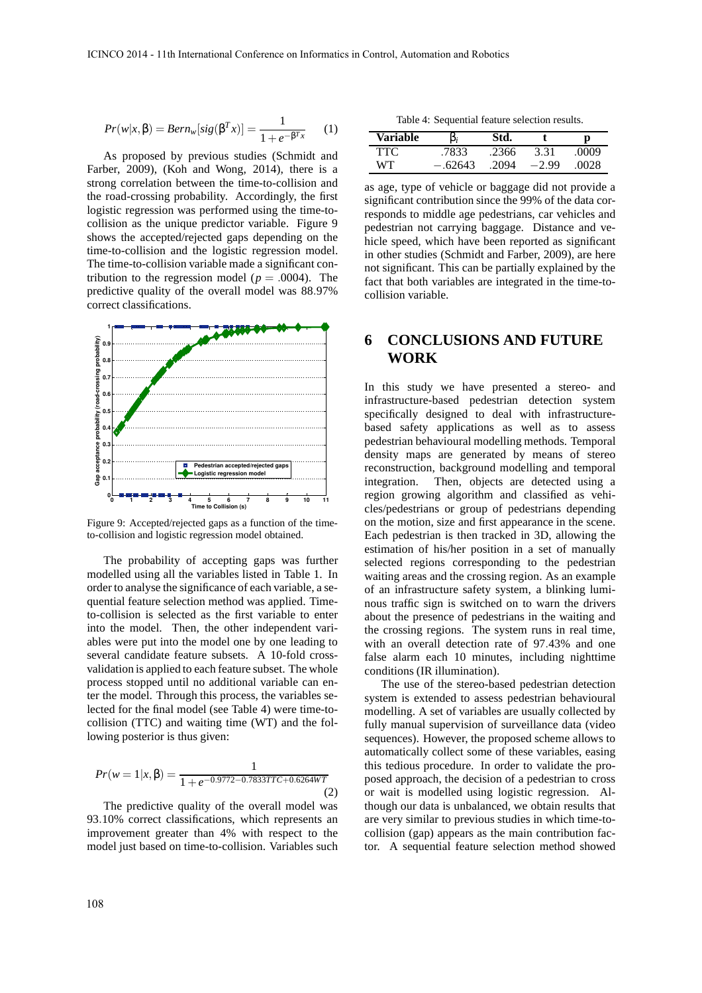$$
Pr(w|x, \beta) = Bern_w[sig(\beta^T x)] = \frac{1}{1 + e^{-\beta^T x}} \qquad (1)
$$

As proposed by previous studies (Schmidt and Farber, 2009), (Koh and Wong, 2014), there is a strong correlation between the time-to-collision and the road-crossing probability. Accordingly, the first logistic regression was performed using the time-tocollision as the unique predictor variable. Figure 9 shows the accepted/rejected gaps depending on the time-to-collision and the logistic regression model. The time-to-collision variable made a significant contribution to the regression model ( $p = .0004$ ). The predictive quality of the overall model was 88.97% correct classifications.



Figure 9: Accepted/rejected gaps as a function of the timeto-collision and logistic regression model obtained.

The probability of accepting gaps was further modelled using all the variables listed in Table 1. In order to analyse the significance of each variable, a sequential feature selection method was applied. Timeto-collision is selected as the first variable to enter into the model. Then, the other independent variables were put into the model one by one leading to several candidate feature subsets. A 10-fold crossvalidation is applied to each feature subset. The whole process stopped until no additional variable can enter the model. Through this process, the variables selected for the final model (see Table 4) were time-tocollision (TTC) and waiting time (WT) and the following posterior is thus given:

$$
Pr(w = 1 | x, \beta) = \frac{1}{1 + e^{-0.9772 - 0.7833TTC + 0.6264WT}}
$$
\n(2)

The predictive quality of the overall model was 93.10% correct classifications, which represents an improvement greater than 4% with respect to the model just based on time-to-collision. Variables such

Table 4: Sequential feature selection results.

| Variable | $\beta_i$ | Std.  |         | р     |
|----------|-----------|-------|---------|-------|
| TTC      | .7833     | .2366 | 3.31    | .0009 |
| WТ       | $-.62643$ | .2094 | $-2.99$ | .0028 |

as age, type of vehicle or baggage did not provide a significant contribution since the 99% of the data corresponds to middle age pedestrians, car vehicles and pedestrian not carrying baggage. Distance and vehicle speed, which have been reported as significant in other studies (Schmidt and Farber, 2009), are here not significant. This can be partially explained by the fact that both variables are integrated in the time-tocollision variable.

# **6 CONCLUSIONS AND FUTURE WORK**

In this study we have presented a stereo- and infrastructure-based pedestrian detection system specifically designed to deal with infrastructurebased safety applications as well as to assess pedestrian behavioural modelling methods. Temporal density maps are generated by means of stereo reconstruction, background modelling and temporal integration. Then, objects are detected using a region growing algorithm and classified as vehicles/pedestrians or group of pedestrians depending on the motion, size and first appearance in the scene. Each pedestrian is then tracked in 3D, allowing the estimation of his/her position in a set of manually selected regions corresponding to the pedestrian waiting areas and the crossing region. As an example of an infrastructure safety system, a blinking luminous traffic sign is switched on to warn the drivers about the presence of pedestrians in the waiting and the crossing regions. The system runs in real time, with an overall detection rate of 97.43% and one false alarm each 10 minutes, including nighttime conditions (IR illumination).

The use of the stereo-based pedestrian detection system is extended to assess pedestrian behavioural modelling. A set of variables are usually collected by fully manual supervision of surveillance data (video sequences). However, the proposed scheme allows to automatically collect some of these variables, easing this tedious procedure. In order to validate the proposed approach, the decision of a pedestrian to cross or wait is modelled using logistic regression. Although our data is unbalanced, we obtain results that are very similar to previous studies in which time-tocollision (gap) appears as the main contribution factor. A sequential feature selection method showed